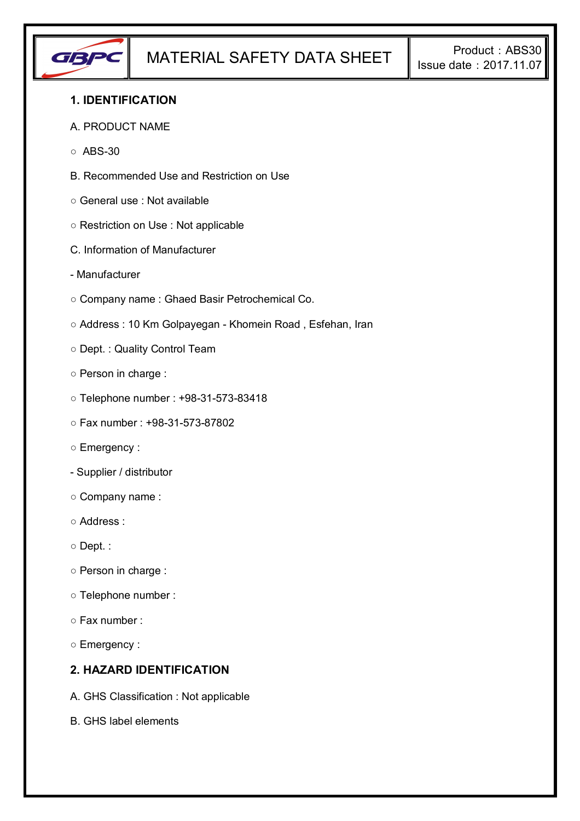

## **1. IDENTIFICATION**

#### A. PRODUCT NAME

- $\circ$  ABS-30
- B. Recommended Use and Restriction on Use
- General use : Not available
- Restriction on Use : Not applicable
- C. Information of Manufacturer
- Manufacturer
- Company name : Ghaed Basir Petrochemical Co.
- Address : 10 Km Golpayegan Khomein Road , Esfehan, Iran
- Dept. : Quality Control Team
- Person in charge :
- Telephone number : +98-31-573-83418
- Fax number : +98-31-573-87802
- Emergency :
- Supplier / distributor
- Company name :
- Address :
- Dept. :
- Person in charge :
- Telephone number :
- Fax number :
- Emergency :

## **2. HAZARD IDENTIFICATION**

- A. GHS Classification : Not applicable
- B. GHS label elements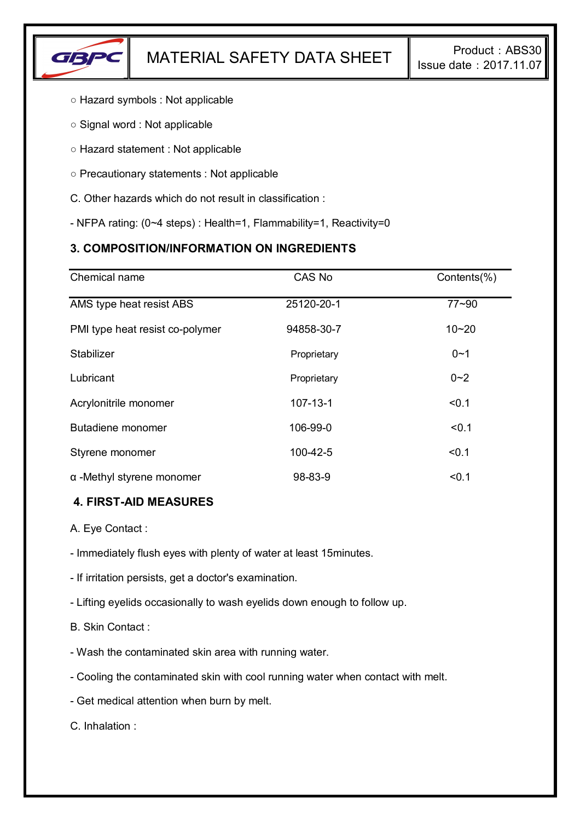

- Hazard symbols : Not applicable
- Signal word : Not applicable
- Hazard statement : Not applicable
- Precautionary statements : Not applicable
- C. Other hazards which do not result in classification :
- NFPA rating: (0~4 steps) : Health=1, Flammability=1, Reactivity=0

# **3. COMPOSITION/INFORMATION ON INGREDIENTS**

| Chemical name                    | CAS No         | Contents(%) |
|----------------------------------|----------------|-------------|
| AMS type heat resist ABS         | 25120-20-1     | $77 - 90$   |
| PMI type heat resist co-polymer  | 94858-30-7     | $10 - 20$   |
| Stabilizer                       | Proprietary    | $0 - 1$     |
| Lubricant                        | Proprietary    | $0 - 2$     |
| Acrylonitrile monomer            | $107 - 13 - 1$ | < 0.1       |
| Butadiene monomer                | 106-99-0       | < 0.1       |
| Styrene monomer                  | 100-42-5       | < 0.1       |
| $\alpha$ -Methyl styrene monomer | 98-83-9        | < 0.1       |

### **4. FIRST-AID MEASURES**

A. Eye Contact :

- Immediately flush eyes with plenty of water at least 15minutes.

- If irritation persists, get a doctor's examination.

- Lifting eyelids occasionally to wash eyelids down enough to follow up.

B. Skin Contact :

- Wash the contaminated skin area with running water.

- Cooling the contaminated skin with cool running water when contact with melt.

- Get medical attention when burn by melt.

C. Inhalation :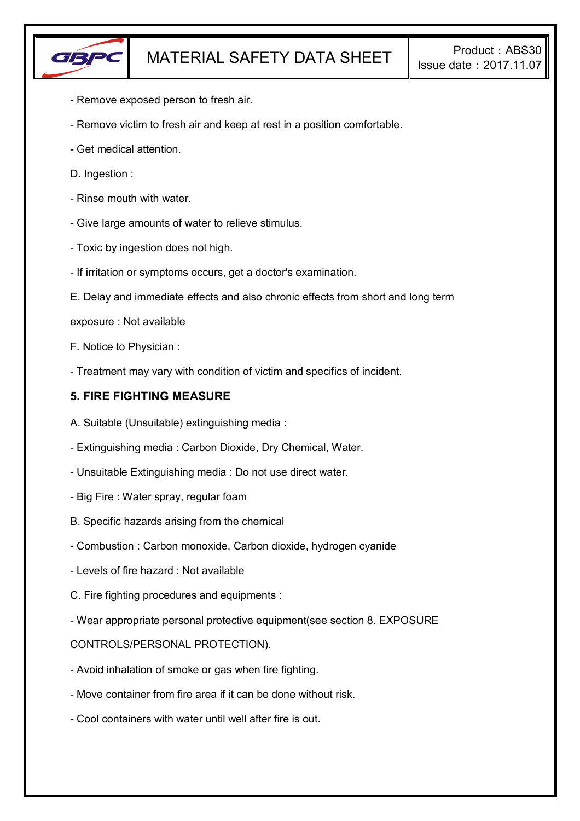

- Remove exposed person to fresh air.
- Remove victim to fresh air and keep at rest in a position comfortable.
- Get medical attention.
- D. Ingestion :
- Rinse mouth with water.
- Give large amounts of water to relieve stimulus.
- Toxic by ingestion does not high.
- If irritation or symptoms occurs, get a doctor's examination.
- E. Delay and immediate effects and also chronic effects from short and long term
- exposure : Not available
- F. Notice to Physician :
- Treatment may vary with condition of victim and specifics of incident.

#### **5. FIRE FIGHTING MEASURE**

- A. Suitable (Unsuitable) extinguishing media :
- Extinguishing media : Carbon Dioxide, Dry Chemical, Water.
- Unsuitable Extinguishing media : Do not use direct water.
- Big Fire : Water spray, regular foam
- B. Specific hazards arising from the chemical
- Combustion : Carbon monoxide, Carbon dioxide, hydrogen cyanide
- Levels of fire hazard : Not available
- C. Fire fighting procedures and equipments :
- Wear appropriate personal protective equipment(see section 8. EXPOSURE

#### CONTROLS/PERSONAL PROTECTION).

- Avoid inhalation of smoke or gas when fire fighting.
- Move container from fire area if it can be done without risk.
- Cool containers with water until well after fire is out.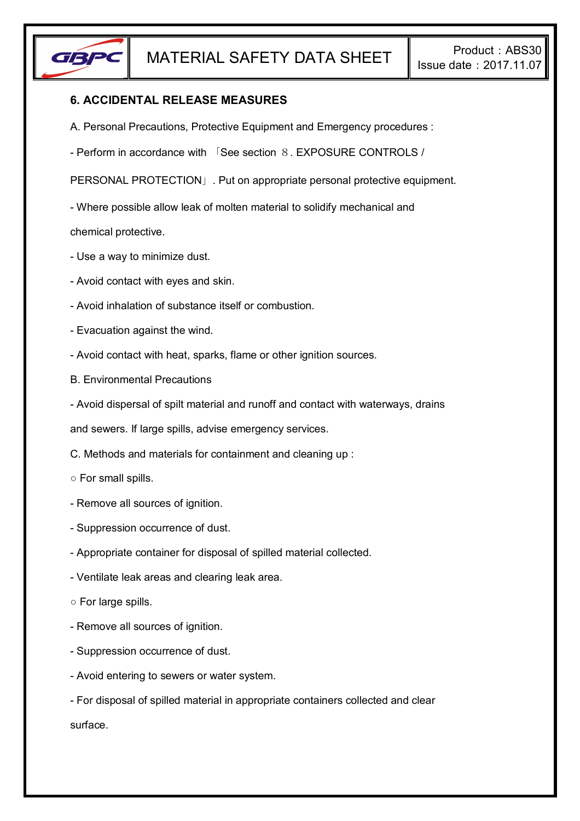

### **6. ACCIDENTAL RELEASE MEASURES**

- A. Personal Precautions, Protective Equipment and Emergency procedures :
- Perform in accordance with 「See section 8. EXPOSURE CONTROLS /

PERSONAL PROTECTION」. Put on appropriate personal protective equipment.

- Where possible allow leak of molten material to solidify mechanical and

chemical protective.

- Use a way to minimize dust.
- Avoid contact with eyes and skin.
- Avoid inhalation of substance itself or combustion.
- Evacuation against the wind.
- Avoid contact with heat, sparks, flame or other ignition sources.
- B. Environmental Precautions
- Avoid dispersal of spilt material and runoff and contact with waterways, drains

and sewers. If large spills, advise emergency services.

- C. Methods and materials for containment and cleaning up :
- For small spills.
- Remove all sources of ignition.
- Suppression occurrence of dust.
- Appropriate container for disposal of spilled material collected.
- Ventilate leak areas and clearing leak area.
- For large spills.
- Remove all sources of ignition.
- Suppression occurrence of dust.
- Avoid entering to sewers or water system.
- For disposal of spilled material in appropriate containers collected and clear surface.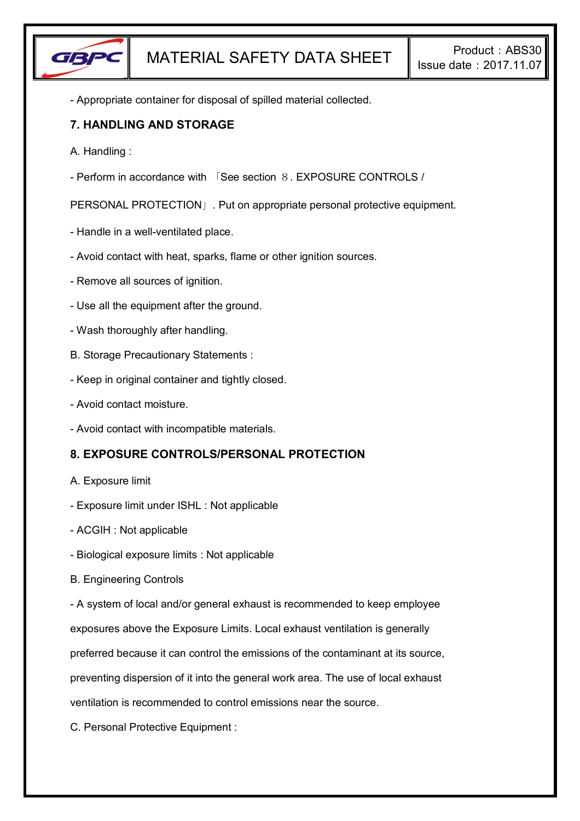

- Appropriate container for disposal of spilled material collected.

### **7. HANDLING AND STORAGE**

- A. Handling :
- Perform in accordance with 「See section 8. EXPOSURE CONTROLS /

PERSONAL PROTECTION」. Put on appropriate personal protective equipment.

- Handle in a well-ventilated place.
- Avoid contact with heat, sparks, flame or other ignition sources.
- Remove all sources of ignition.
- Use all the equipment after the ground.
- Wash thoroughly after handling.
- B. Storage Precautionary Statements :
- Keep in original container and tightly closed.
- Avoid contact moisture.
- Avoid contact with incompatible materials.

# **8. EXPOSURE CONTROLS/PERSONAL PROTECTION**

- A. Exposure limit
- Exposure limit under ISHL : Not applicable
- ACGIH : Not applicable
- Biological exposure limits : Not applicable
- B. Engineering Controls

- A system of local and/or general exhaust is recommended to keep employee

exposures above the Exposure Limits. Local exhaust ventilation is generally

preferred because it can control the emissions of the contaminant at its source,

preventing dispersion of it into the general work area. The use of local exhaust

ventilation is recommended to control emissions near the source.

C. Personal Protective Equipment :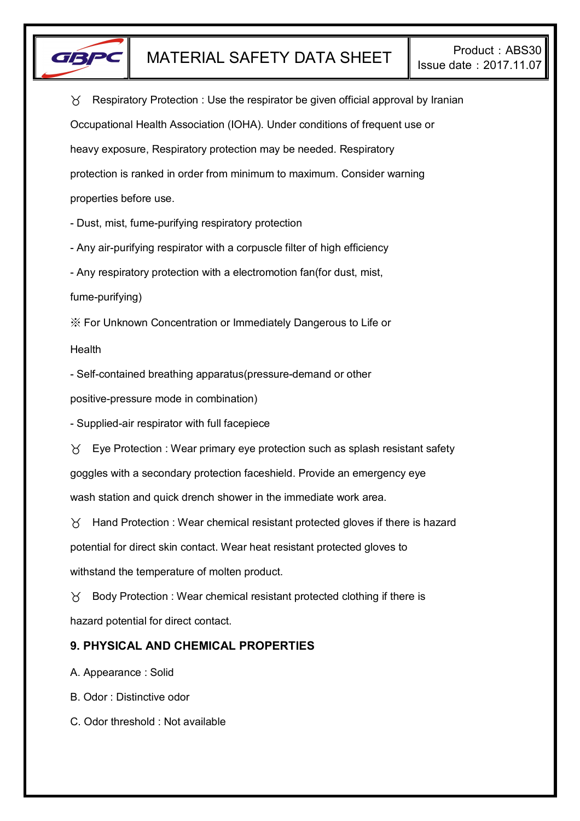

 $\gamma$  Respiratory Protection : Use the respirator be given official approval by Iranian Occupational Health Association (IOHA). Under conditions of frequent use or heavy exposure, Respiratory protection may be needed. Respiratory protection is ranked in order from minimum to maximum. Consider warning properties before use.

- Dust, mist, fume-purifying respiratory protection

- Any air-purifying respirator with a corpuscle filter of high efficiency

- Any respiratory protection with a electromotion fan(for dust, mist,

fume-purifying)

※ For Unknown Concentration or Immediately Dangerous to Life or

Health

- Self-contained breathing apparatus(pressure-demand or other

positive-pressure mode in combination)

- Supplied-air respirator with full facepiece

 $\forall$  Eye Protection : Wear primary eye protection such as splash resistant safety goggles with a secondary protection faceshield. Provide an emergency eye wash station and quick drench shower in the immediate work area.

 $\gamma$  Hand Protection : Wear chemical resistant protected gloves if there is hazard potential for direct skin contact. Wear heat resistant protected gloves to withstand the temperature of molten product.

 $\gamma$  Body Protection : Wear chemical resistant protected clothing if there is hazard potential for direct contact.

# **9. PHYSICAL AND CHEMICAL PROPERTIES**

A. Appearance : Solid

B. Odor : Distinctive odor

C. Odor threshold : Not available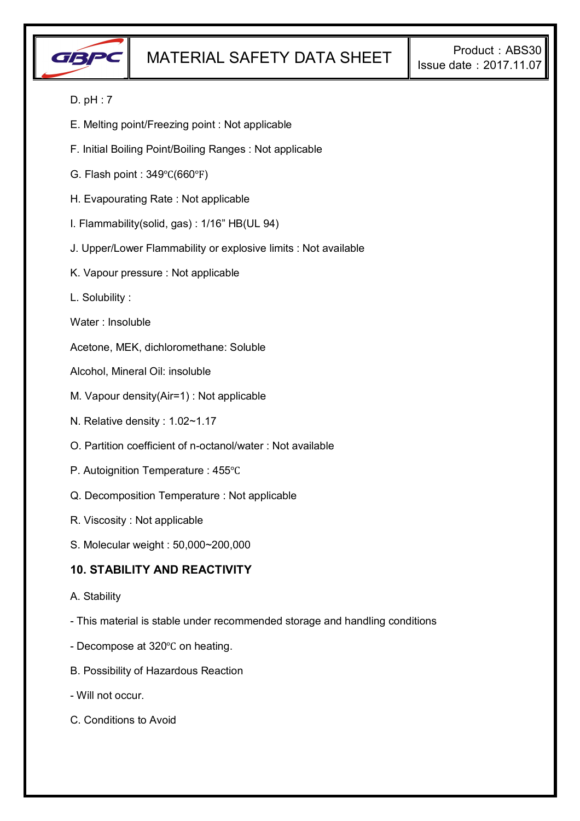

### D. pH : 7

- E. Melting point/Freezing point : Not applicable
- F. Initial Boiling Point/Boiling Ranges : Not applicable
- G. Flash point : 349℃(660℉)
- H. Evapourating Rate : Not applicable
- I. Flammability(solid, gas) : 1/16" HB(UL 94)
- J. Upper/Lower Flammability or explosive limits : Not available
- K. Vapour pressure : Not applicable
- L. Solubility :
- Water : Insoluble

Acetone, MEK, dichloromethane: Soluble

- Alcohol, Mineral Oil: insoluble
- M. Vapour density(Air=1) : Not applicable
- N. Relative density : 1.02~1.17
- O. Partition coefficient of n-octanol/water : Not available
- P. Autoignition Temperature : 455℃
- Q. Decomposition Temperature : Not applicable
- R. Viscosity : Not applicable
- S. Molecular weight : 50,000~200,000

### **10. STABILITY AND REACTIVITY**

- A. Stability
- This material is stable under recommended storage and handling conditions
- Decompose at 320℃ on heating.
- B. Possibility of Hazardous Reaction
- Will not occur.
- C. Conditions to Avoid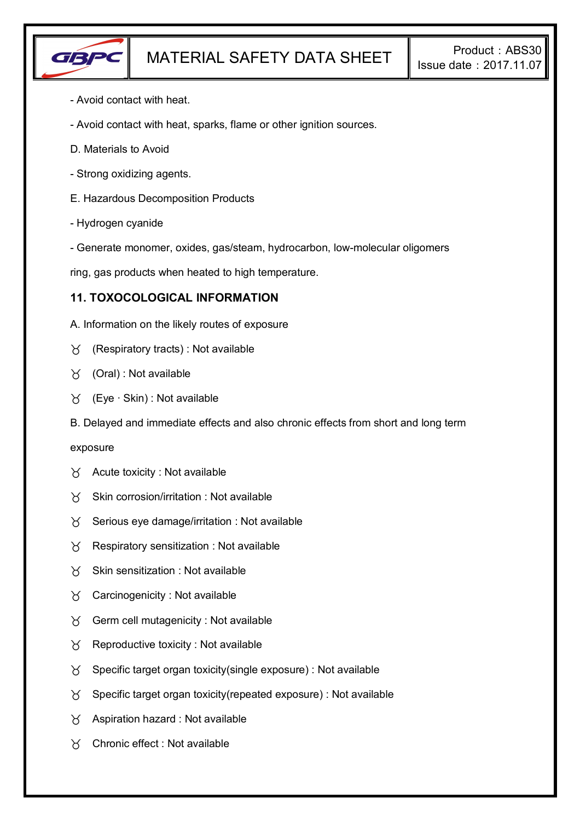

- Avoid contact with heat.
- Avoid contact with heat, sparks, flame or other ignition sources.
- D. Materials to Avoid
- Strong oxidizing agents.
- E. Hazardous Decomposition Products
- Hydrogen cyanide
- Generate monomer, oxides, gas/steam, hydrocarbon, low-molecular oligomers

ring, gas products when heated to high temperature.

### **11. TOXOCOLOGICAL INFORMATION**

- A. Information on the likely routes of exposure
- $\gamma$  (Respiratory tracts) : Not available
- (Oral) : Not available
- (Eye ∙ Skin) : Not available
- B. Delayed and immediate effects and also chronic effects from short and long term

#### exposure

- $\forall$  Acute toxicity : Not available
- $X$  Skin corrosion/irritation : Not available
- $\gamma$  Serious eye damage/irritation : Not available
- $\gamma$  Respiratory sensitization : Not available
- $X$  Skin sensitization : Not available
- $\forall$  Carcinogenicity : Not available
- $\gamma$  Germ cell mutagenicity : Not available
- $\gamma$  Reproductive toxicity : Not available
- $\gamma$  Specific target organ toxicity(single exposure) : Not available
- $\gamma$  Specific target organ toxicity (repeated exposure) : Not available
- $\gamma$  Aspiration hazard : Not available
- Chronic effect : Not available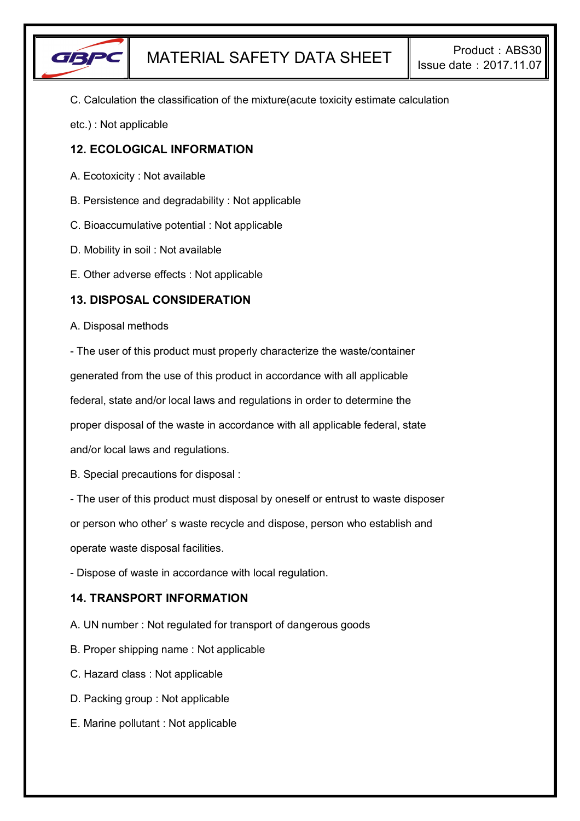

C. Calculation the classification of the mixture(acute toxicity estimate calculation

etc.) : Not applicable

# **12. ECOLOGICAL INFORMATION**

- A. Ecotoxicity : Not available
- B. Persistence and degradability : Not applicable
- C. Bioaccumulative potential : Not applicable
- D. Mobility in soil : Not available
- E. Other adverse effects : Not applicable

### **13. DISPOSAL CONSIDERATION**

#### A. Disposal methods

- The user of this product must properly characterize the waste/container

generated from the use of this product in accordance with all applicable

federal, state and/or local laws and regulations in order to determine the

proper disposal of the waste in accordance with all applicable federal, state

and/or local laws and regulations.

B. Special precautions for disposal :

- The user of this product must disposal by oneself or entrust to waste disposer

or person who other' s waste recycle and dispose, person who establish and

operate waste disposal facilities.

- Dispose of waste in accordance with local regulation.

# **14. TRANSPORT INFORMATION**

- A. UN number : Not regulated for transport of dangerous goods
- B. Proper shipping name : Not applicable
- C. Hazard class : Not applicable
- D. Packing group : Not applicable
- E. Marine pollutant : Not applicable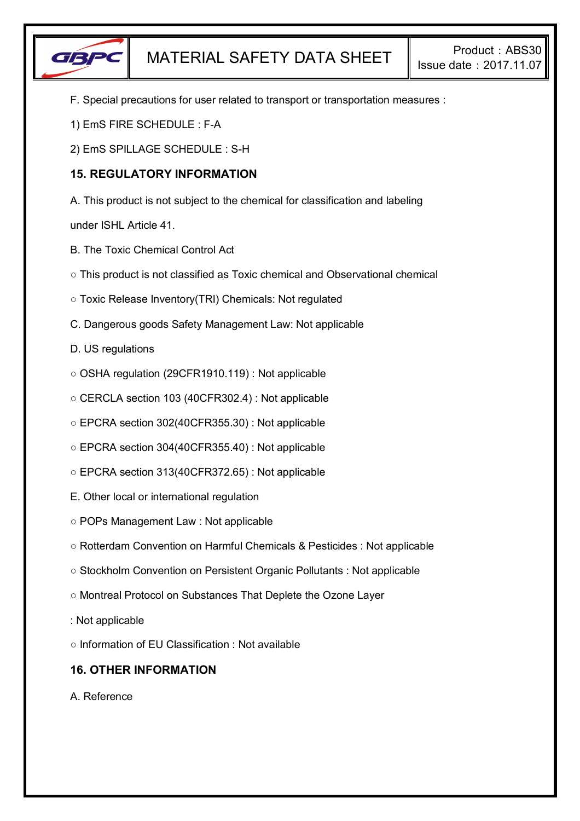

- F. Special precautions for user related to transport or transportation measures :
- 1) EmS FIRE SCHEDULE : F-A
- 2) EmS SPILLAGE SCHEDULE : S-H

# **15. REGULATORY INFORMATION**

A. This product is not subject to the chemical for classification and labeling

under ISHL Article 41.

- B. The Toxic Chemical Control Act
- This product is not classified as Toxic chemical and Observational chemical
- Toxic Release Inventory(TRI) Chemicals: Not regulated
- C. Dangerous goods Safety Management Law: Not applicable
- D. US regulations
- OSHA regulation (29CFR1910.119) : Not applicable
- CERCLA section 103 (40CFR302.4) : Not applicable
- EPCRA section 302(40CFR355.30) : Not applicable
- EPCRA section 304(40CFR355.40) : Not applicable
- EPCRA section 313(40CFR372.65) : Not applicable
- E. Other local or international regulation
- POPs Management Law : Not applicable
- Rotterdam Convention on Harmful Chemicals & Pesticides : Not applicable
- Stockholm Convention on Persistent Organic Pollutants : Not applicable
- Montreal Protocol on Substances That Deplete the Ozone Layer
- : Not applicable
- Information of EU Classification : Not available

# **16. OTHER INFORMATION**

A. Reference